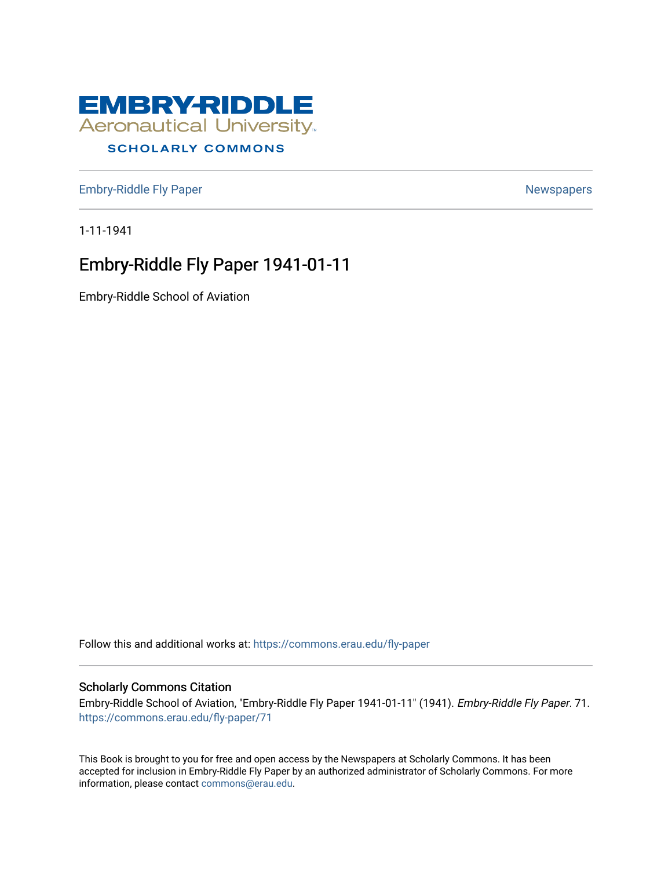

## **SCHOLARLY COMMONS**

[Embry-Riddle Fly Paper](https://commons.erau.edu/fly-paper) [Newspapers](https://commons.erau.edu/archives-newspapers) Newspapers

1-11-1941

## Embry-Riddle Fly Paper 1941-01-11

Embry-Riddle School of Aviation

Follow this and additional works at: [https://commons.erau.edu/fly-paper](https://commons.erau.edu/fly-paper?utm_source=commons.erau.edu%2Ffly-paper%2F71&utm_medium=PDF&utm_campaign=PDFCoverPages) 

## Scholarly Commons Citation

Embry-Riddle School of Aviation, "Embry-Riddle Fly Paper 1941-01-11" (1941). Embry-Riddle Fly Paper. 71. [https://commons.erau.edu/fly-paper/71](https://commons.erau.edu/fly-paper/71?utm_source=commons.erau.edu%2Ffly-paper%2F71&utm_medium=PDF&utm_campaign=PDFCoverPages)

This Book is brought to you for free and open access by the Newspapers at Scholarly Commons. It has been accepted for inclusion in Embry-Riddle Fly Paper by an authorized administrator of Scholarly Commons. For more information, please contact [commons@erau.edu.](mailto:commons@erau.edu)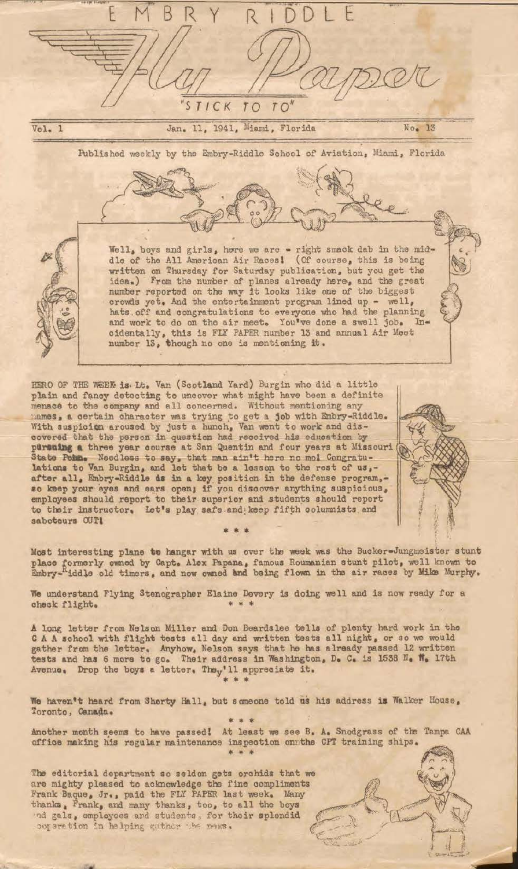

Most interesting plane to hangar with us over the week was the Bucker-Jungmeister stunt place formerly owned by Capt. Alex Papana, famous Roumanian stunt pilot, well known to Embry-"iddle old timers, and now owned and being flown in the air races by Mike Murphy.

We understand Flying Stenographer Elaine Devery is doing well and is now ready for a check flight.

State Pehn. Needless to say, that man ain't here no mol Congratu-<br>lations to Van Burgin, and let that be a lesson to the rest of us,-

after all, Embry-Riddle as in a key position in the defense program,-so keep your eyes and ears open; if you disocver anything suspicious, employees should report to their superior and students should report to their instructor. Let's play safe and keep fifth columnists and

saboteurs OUT!

A long letter from Nelson Miller and Don Beardslee tells of plenty hard work in the CAA school with flight tests all day and written tests all night, or so we would gather from the letter. Anyhow, Nelson says that he has already passed 12 written tests and has 6 more to go. Their address in Washington, D. C. is 1538 N. W. 17th Avenue. Drop the boys a letter. They'll appreciate it.

We haven't heard from Shorty Hall, but someone told us his address is Walker House, Toronto, Canada. \* \* \*

Another month seems to have passed! At least we see B. A. Snodgrass of the Tampa CAA office making his regular maintenance inspection on the CPT training ships.

The editorial department so seldon gets orchids that we are mighty pleased to acknowledge the fine compliments Frank Baque, Jr., paid the FLY PAPER last week. Many thanks. Frank, and many thanks, too, to all the boys nd gals, employees and students, for their splendid ooperation in halping guther the news.